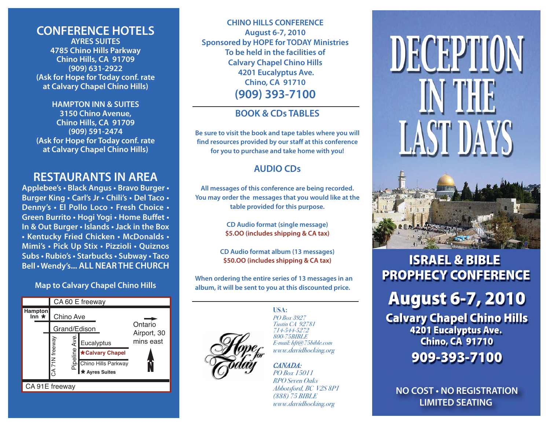# **CONFERENCE HOTELS**

**AYRES SUITES4785 Chino Hills Parkway Chino Hills, CA 91709 (909) 631-2922 (Ask for Hope for Today conf. rate at Calvary Chapel Chino Hills)** 

**HAMPTON INN & SUITES**

**3150 Chino Avenue, Chino Hills, CA 91709 (909) 591-2474 (Ask for Hope for Today conf. rate at Calvary Chapel Chino Hills)** 

# **RESTAURANTS IN AREA**

**Applebee's • Black Angus • Bravo Burger • Burger King • Carl's Jr • Chili's • Del Taco • Denny's • El Pollo Loco • Fresh Choice • Green Burrito • Hogi Yogi • Home Buffet • In & Out Burger • Islands • Jack in the Box • Kentucky Fried Chicken • McDonalds • Mimi's • Pick Up Stix • Pizzioli • Quiznos Subs • Rubio's • Starbucks • Subway • Taco Bell • Wendy's... ALL NEAR THE CHURCH**

# **Map to Calvary Chapel Chino Hills**



**CHINO HILLS CONFERENCE August 6-7, 2010 Sponsored by HOPE for TODAY Ministries To be held in the facilities of Calvary Chapel Chino Hills 4201 Eucalyptus Ave. Chino, CA 91710 (909) 393-7100**

# **BOOK & CDs TABLES**

**Be sure to visit the book and tape tables where you will find resources provided by our staff at this conference for you to purchase and take home with you!**

# **AUDIO CDs**

**All messages of this conference are being recorded. You may order the messages that you would like at the table provided for this purpose.**

> **CD Audio format (single message) \$5.OO (includes shipping & CA tax)**

**CD Audio format album (13 messages) \$50.OO (includes shipping & CA tax)**

**When ordering the entire series of 13 messages in an album, it will be sent to you at this discounted price.**



**USA:**PO Box 3927Tustin CA 92781714-544-5272 800-75BIBLE E-mail: hft@75bible.com www.davidhocking.org

## CANADA:

PO Box 15011RPO Seven OaksAbbotsford, BC V2S 8P1 (888) 75 BIBLE www.davidhocking.org

# DECEPTION IN THE **LAST DAYS**

# **ISRAEL & BIBLE PROPHECY CONFERENCE**

**August 6-7, 2010** 

**Calvary Chapel Chino Hills** 4201 Eucalyptus Ave. **Chino, CA 91710** 909-393-7100

**NO COST • NO REGISTRATIONLIMITED SEATING**